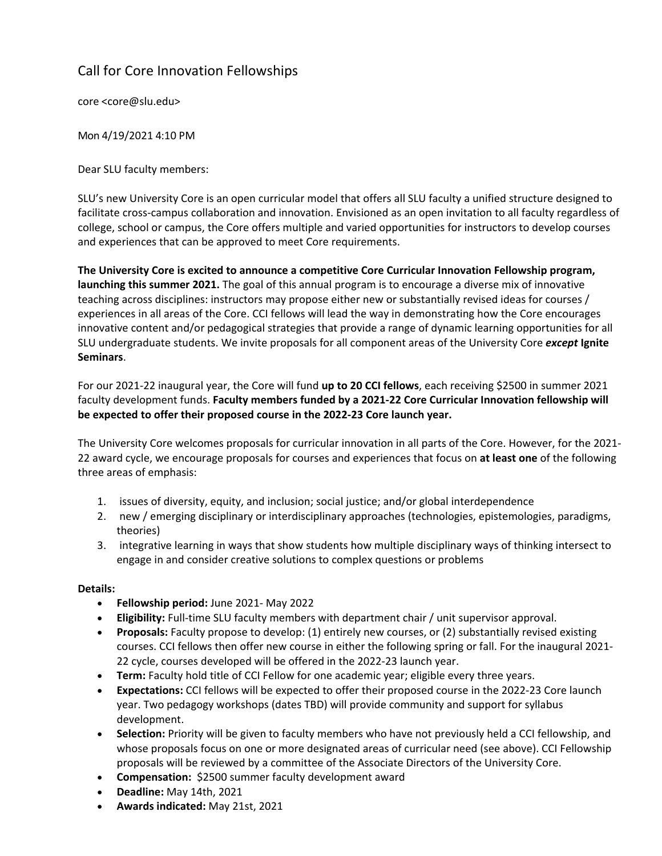## Call for Core Innovation Fellowships

core [<core@slu.edu>](mailto:core@slu.edu)

Mon 4/19/2021 4:10 PM

Dear SLU faculty members:

SLU's new University Core is an open curricular model that offers all SLU faculty a unified structure designed to facilitate cross-campus collaboration and innovation. Envisioned as an open invitation to all faculty regardless of college, school or campus, the Core offers multiple and varied opportunities for instructors to develop courses and experiences that can be approved to meet Core requirements.

**The University Core is excited to announce a competitive Core Curricular Innovation Fellowship program, launching this summer 2021.** The goal of this annual program is to encourage a diverse mix of innovative teaching across disciplines: instructors may propose either new or substantially revised ideas for courses / experiences in all areas of the Core. CCI fellows will lead the way in demonstrating how the Core encourages innovative content and/or pedagogical strategies that provide a range of dynamic learning opportunities for all SLU undergraduate students. We invite proposals for all component areas of the University Core *except* **Ignite Seminars**.

For our 2021-22 inaugural year, the Core will fund **up to 20 CCI fellows**, each receiving \$2500 in summer 2021 faculty development funds. **Faculty members funded by a 2021-22 Core Curricular Innovation fellowship will be expected to offer their proposed course in the 2022-23 Core launch year.**

The University Core welcomes proposals for curricular innovation in all parts of the Core. However, for the 2021- 22 award cycle, we encourage proposals for courses and experiences that focus on **at least one** of the following three areas of emphasis:

- 1. issues of diversity, equity, and inclusion; social justice; and/or global interdependence
- 2. new / emerging disciplinary or interdisciplinary approaches (technologies, epistemologies, paradigms, theories)
- 3. integrative learning in ways that show students how multiple disciplinary ways of thinking intersect to engage in and consider creative solutions to complex questions or problems

## **Details:**

- **Fellowship period:** June 2021- May 2022
- **Eligibility:** Full-time SLU faculty members with department chair / unit supervisor approval.
- **Proposals:** Faculty propose to develop: (1) entirely new courses, or (2) substantially revised existing courses. CCI fellows then offer new course in either the following spring or fall. For the inaugural 2021- 22 cycle, courses developed will be offered in the 2022-23 launch year.
- **Term:** Faculty hold title of CCI Fellow for one academic year; eligible every three years.
- **Expectations:** CCI fellows will be expected to offer their proposed course in the 2022-23 Core launch year. Two pedagogy workshops (dates TBD) will provide community and support for syllabus development.
- **Selection:** Priority will be given to faculty members who have not previously held a CCI fellowship, and whose proposals focus on one or more designated areas of curricular need (see above). CCI Fellowship proposals will be reviewed by a committee of the Associate Directors of the University Core.
- **Compensation:** \$2500 summer faculty development award
- **Deadline:** May 14th, 2021
- **Awards indicated:** May 21st, 2021